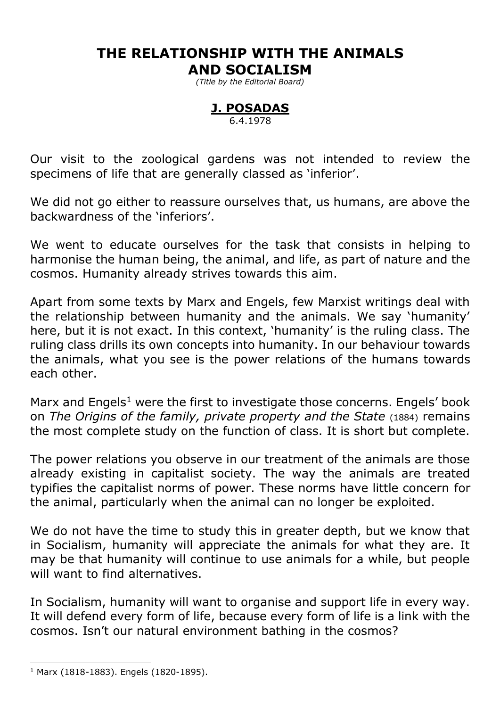# **THE RELATIONSHIP WITH THE ANIMALS**

### **AND SOCIALISM**

*(Title by the Editorial Board)*

# **J. POSADAS**

6.4.1978

Our visit to the zoological gardens was not intended to review the specimens of life that are generally classed as 'inferior'.

We did not go either to reassure ourselves that, us humans, are above the backwardness of the 'inferiors'.

We went to educate ourselves for the task that consists in helping to harmonise the human being, the animal, and life, as part of nature and the cosmos. Humanity already strives towards this aim.

Apart from some texts by Marx and Engels, few Marxist writings deal with the relationship between humanity and the animals. We say 'humanity' here, but it is not exact. In this context, 'humanity' is the ruling class. The ruling class drills its own concepts into humanity. In our behaviour towards the animals, what you see is the power relations of the humans towards each other.

Marx and Engels<sup>1</sup> were the first to investigate those concerns. Engels' book on *The Origins of the family, private property and the State* (1884) remains the most complete study on the function of class. It is short but complete.

The power relations you observe in our treatment of the animals are those already existing in capitalist society. The way the animals are treated typifies the capitalist norms of power. These norms have little concern for the animal, particularly when the animal can no longer be exploited.

We do not have the time to study this in greater depth, but we know that in Socialism, humanity will appreciate the animals for what they are. It may be that humanity will continue to use animals for a while, but people will want to find alternatives.

In Socialism, humanity will want to organise and support life in every way. It will defend every form of life, because every form of life is a link with the cosmos. Isn't our natural environment bathing in the cosmos?

-

<sup>1</sup> Marx (1818-1883). Engels (1820-1895).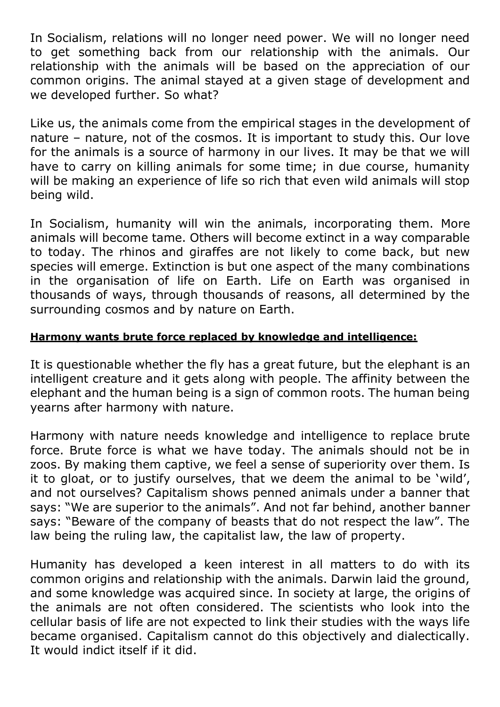In Socialism, relations will no longer need power. We will no longer need to get something back from our relationship with the animals. Our relationship with the animals will be based on the appreciation of our common origins. The animal stayed at a given stage of development and we developed further. So what?

Like us, the animals come from the empirical stages in the development of nature – nature, not of the cosmos. It is important to study this. Our love for the animals is a source of harmony in our lives. It may be that we will have to carry on killing animals for some time; in due course, humanity will be making an experience of life so rich that even wild animals will stop being wild.

In Socialism, humanity will win the animals, incorporating them. More animals will become tame. Others will become extinct in a way comparable to today. The rhinos and giraffes are not likely to come back, but new species will emerge. Extinction is but one aspect of the many combinations in the organisation of life on Earth. Life on Earth was organised in thousands of ways, through thousands of reasons, all determined by the surrounding cosmos and by nature on Earth.

#### **Harmony wants brute force replaced by knowledge and intelligence:**

It is questionable whether the fly has a great future, but the elephant is an intelligent creature and it gets along with people. The affinity between the elephant and the human being is a sign of common roots. The human being yearns after harmony with nature.

Harmony with nature needs knowledge and intelligence to replace brute force. Brute force is what we have today. The animals should not be in zoos. By making them captive, we feel a sense of superiority over them. Is it to gloat, or to justify ourselves, that we deem the animal to be 'wild', and not ourselves? Capitalism shows penned animals under a banner that says: "We are superior to the animals". And not far behind, another banner says: "Beware of the company of beasts that do not respect the law". The law being the ruling law, the capitalist law, the law of property.

Humanity has developed a keen interest in all matters to do with its common origins and relationship with the animals. Darwin laid the ground, and some knowledge was acquired since. In society at large, the origins of the animals are not often considered. The scientists who look into the cellular basis of life are not expected to link their studies with the ways life became organised. Capitalism cannot do this objectively and dialectically. It would indict itself if it did.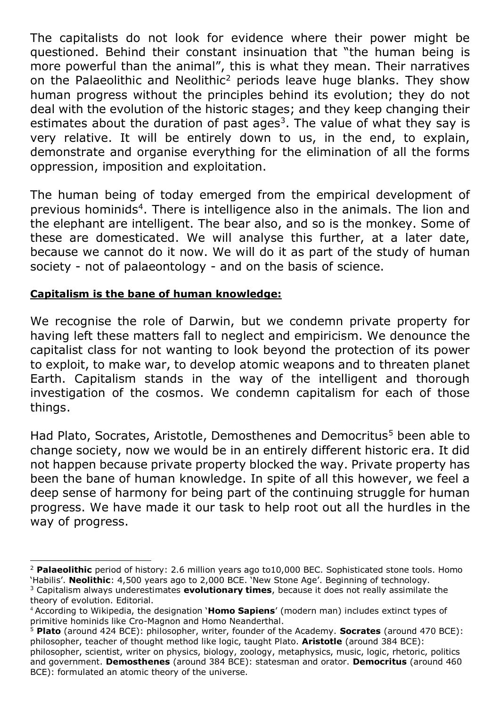The capitalists do not look for evidence where their power might be questioned. Behind their constant insinuation that "the human being is more powerful than the animal", this is what they mean. Their narratives on the Palaeolithic and Neolithic<sup>2</sup> periods leave huge blanks. They show human progress without the principles behind its evolution; they do not deal with the evolution of the historic stages; and they keep changing their estimates about the duration of past ages<sup>3</sup>. The value of what they say is very relative. It will be entirely down to us, in the end, to explain, demonstrate and organise everything for the elimination of all the forms oppression, imposition and exploitation.

The human being of today emerged from the empirical development of previous hominids<sup>4</sup>. There is intelligence also in the animals. The lion and the elephant are intelligent. The bear also, and so is the monkey. Some of these are domesticated. We will analyse this further, at a later date, because we cannot do it now. We will do it as part of the study of human society - not of palaeontology - and on the basis of science.

#### **Capitalism is the bane of human knowledge:**

 $\overline{a}$ 

We recognise the role of Darwin, but we condemn private property for having left these matters fall to neglect and empiricism. We denounce the capitalist class for not wanting to look beyond the protection of its power to exploit, to make war, to develop atomic weapons and to threaten planet Earth. Capitalism stands in the way of the intelligent and thorough investigation of the cosmos. We condemn capitalism for each of those things.

Had Plato, Socrates, Aristotle, Demosthenes and Democritus<sup>5</sup> been able to change society, now we would be in an entirely different historic era. It did not happen because private property blocked the way. Private property has been the bane of human knowledge. In spite of all this however, we feel a deep sense of harmony for being part of the continuing struggle for human progress. We have made it our task to help root out all the hurdles in the way of progress.

<sup>2</sup> **Palaeolithic** period of history: 2.6 million years ago to10,000 BEC. Sophisticated stone tools. Homo 'Habilis'. **Neolithic**: 4,500 years ago to 2,000 BCE. 'New Stone Age'. Beginning of technology. <sup>3</sup> Capitalism always underestimates **evolutionary times**, because it does not really assimilate the theory of evolution. Editorial.

<sup>4</sup> According to Wikipedia, the designation '**Homo Sapiens**' (modern man) includes extinct types of primitive hominids like Cro-Magnon and Homo Neanderthal.

<sup>5</sup> **Plato** (around 424 BCE): philosopher, writer, founder of the Academy. **Socrates** (around 470 BCE): philosopher, teacher of thought method like logic, taught Plato. **Aristotle** (around 384 BCE):

philosopher, scientist, writer on physics, biology, zoology, metaphysics, music, logic, rhetoric, politics and government. **Demosthenes** (around 384 BCE): statesman and orator. **Democritus** (around 460 BCE): formulated an atomic theory of the universe.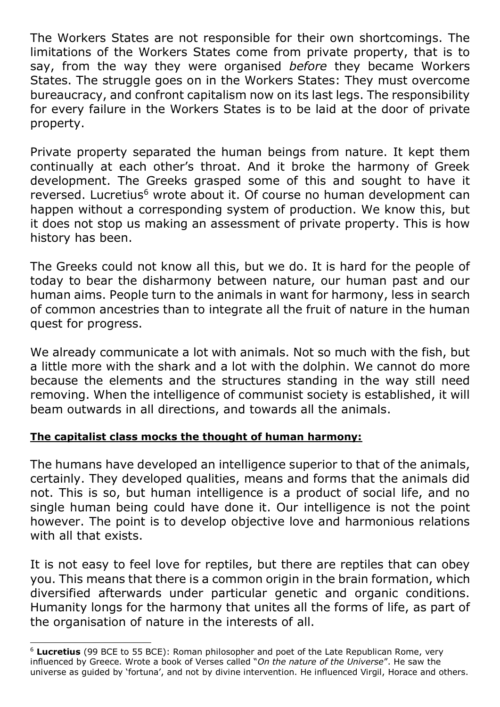The Workers States are not responsible for their own shortcomings. The limitations of the Workers States come from private property, that is to say, from the way they were organised *before* they became Workers States. The struggle goes on in the Workers States: They must overcome bureaucracy, and confront capitalism now on its last legs. The responsibility for every failure in the Workers States is to be laid at the door of private property.

Private property separated the human beings from nature. It kept them continually at each other's throat. And it broke the harmony of Greek development. The Greeks grasped some of this and sought to have it reversed. Lucretius<sup>6</sup> wrote about it. Of course no human development can happen without a corresponding system of production. We know this, but it does not stop us making an assessment of private property. This is how history has been.

The Greeks could not know all this, but we do. It is hard for the people of today to bear the disharmony between nature, our human past and our human aims. People turn to the animals in want for harmony, less in search of common ancestries than to integrate all the fruit of nature in the human quest for progress.

We already communicate a lot with animals. Not so much with the fish, but a little more with the shark and a lot with the dolphin. We cannot do more because the elements and the structures standing in the way still need removing. When the intelligence of communist society is established, it will beam outwards in all directions, and towards all the animals.

#### **The capitalist class mocks the thought of human harmony:**

-

The humans have developed an intelligence superior to that of the animals, certainly. They developed qualities, means and forms that the animals did not. This is so, but human intelligence is a product of social life, and no single human being could have done it. Our intelligence is not the point however. The point is to develop objective love and harmonious relations with all that exists.

It is not easy to feel love for reptiles, but there are reptiles that can obey you. This means that there is a common origin in the brain formation, which diversified afterwards under particular genetic and organic conditions. Humanity longs for the harmony that unites all the forms of life, as part of the organisation of nature in the interests of all.

<sup>6</sup> **Lucretius** (99 BCE to 55 BCE): Roman philosopher and poet of the Late Republican Rome, very influenced by Greece. Wrote a book of Verses called "*On the nature of the Universe*". He saw the universe as guided by 'fortuna', and not by divine intervention. He influenced Virgil, Horace and others.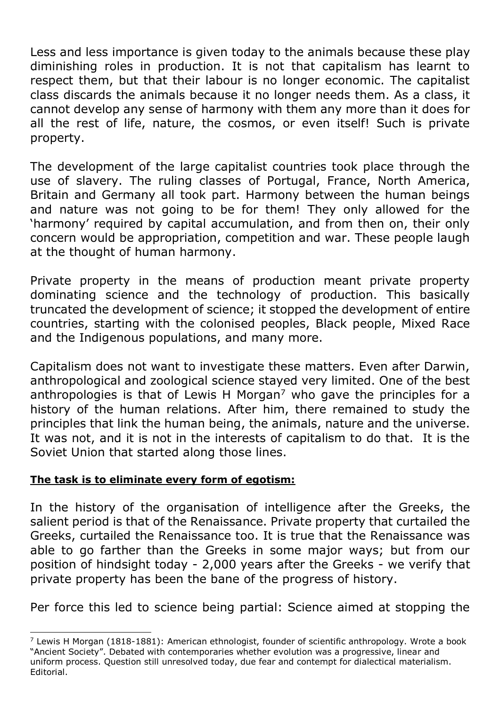Less and less importance is given today to the animals because these play diminishing roles in production. It is not that capitalism has learnt to respect them, but that their labour is no longer economic. The capitalist class discards the animals because it no longer needs them. As a class, it cannot develop any sense of harmony with them any more than it does for all the rest of life, nature, the cosmos, or even itself! Such is private property.

The development of the large capitalist countries took place through the use of slavery. The ruling classes of Portugal, France, North America, Britain and Germany all took part. Harmony between the human beings and nature was not going to be for them! They only allowed for the 'harmony' required by capital accumulation, and from then on, their only concern would be appropriation, competition and war. These people laugh at the thought of human harmony.

Private property in the means of production meant private property dominating science and the technology of production. This basically truncated the development of science; it stopped the development of entire countries, starting with the colonised peoples, Black people, Mixed Race and the Indigenous populations, and many more.

Capitalism does not want to investigate these matters. Even after Darwin, anthropological and zoological science stayed very limited. One of the best anthropologies is that of Lewis H Morgan<sup>7</sup> who gave the principles for a history of the human relations. After him, there remained to study the principles that link the human being, the animals, nature and the universe. It was not, and it is not in the interests of capitalism to do that. It is the Soviet Union that started along those lines.

#### **The task is to eliminate every form of egotism:**

 $\overline{a}$ 

In the history of the organisation of intelligence after the Greeks, the salient period is that of the Renaissance. Private property that curtailed the Greeks, curtailed the Renaissance too. It is true that the Renaissance was able to go farther than the Greeks in some major ways; but from our position of hindsight today - 2,000 years after the Greeks - we verify that private property has been the bane of the progress of history.

Per force this led to science being partial: Science aimed at stopping the

 $7$  Lewis H Morgan (1818-1881): American ethnologist, founder of scientific anthropology. Wrote a book "Ancient Society". Debated with contemporaries whether evolution was a progressive, linear and uniform process. Question still unresolved today, due fear and contempt for dialectical materialism. Editorial.